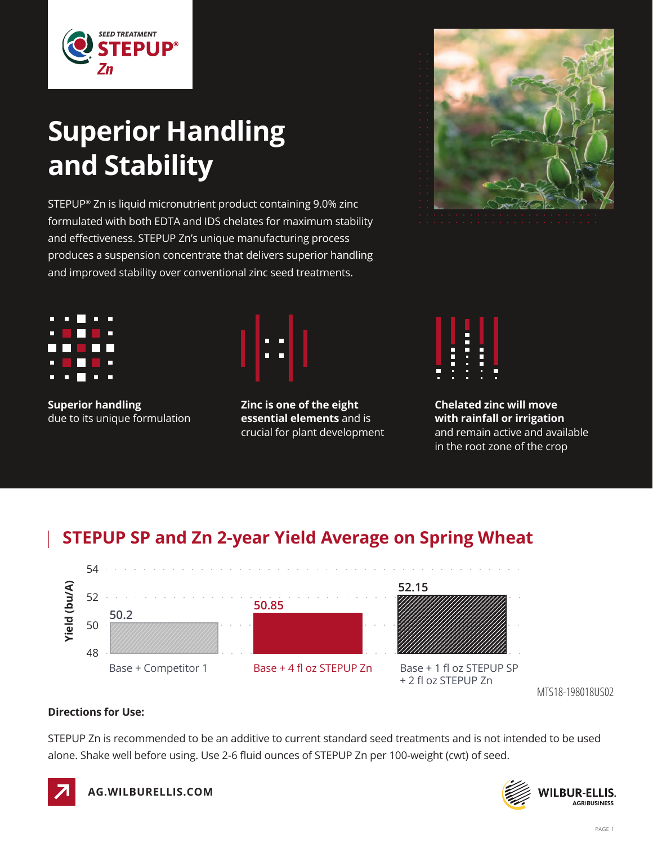

# **Superior Handling and Stability**

STEPUP® Zn is liquid micronutrient product containing 9.0% zinc formulated with both EDTA and IDS chelates for maximum stability and effectiveness. STEPUP Zn's unique manufacturing process produces a suspension concentrate that delivers superior handling and improved stability over conventional zinc seed treatments.



**Superior handling**  due to its unique formulation



**Zinc is one of the eight essential elements** and is crucial for plant development



**Chelated zinc will move with rainfall or irrigation**  and remain active and available in the root zone of the crop

### **STEPUP SP and Zn 2-year Yield Average on Spring Wheat**



MTS18-198018US02

#### **Directions for Use:**

STEPUP Zn is recommended to be an additive to current standard seed treatments and is not intended to be used alone. Shake well before using. Use 2-6 fluid ounces of STEPUP Zn per 100-weight (cwt) of seed.